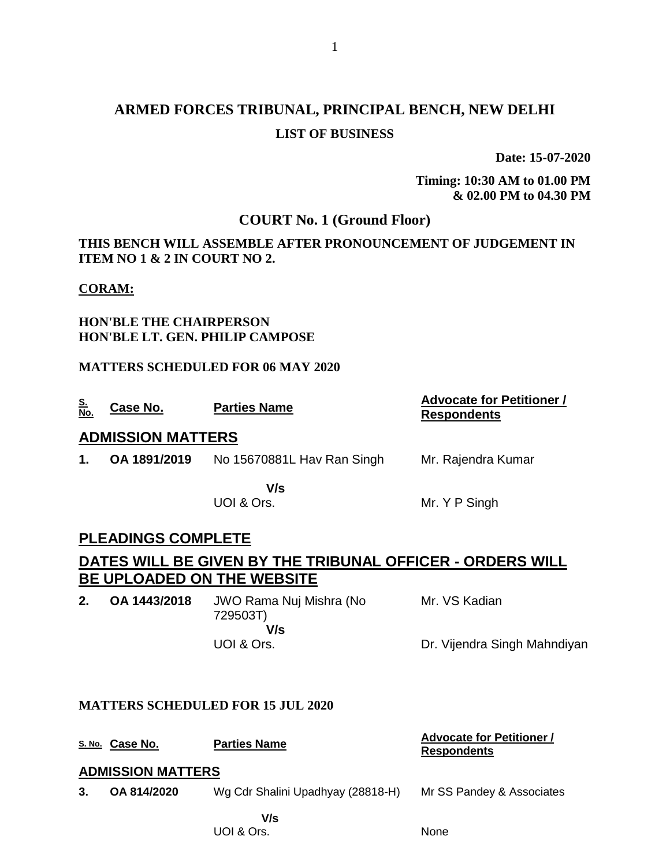# **ARMED FORCES TRIBUNAL, PRINCIPAL BENCH, NEW DELHI LIST OF BUSINESS**

**Date: 15-07-2020**

**Timing: 10:30 AM to 01.00 PM & 02.00 PM to 04.30 PM**

# **COURT No. 1 (Ground Floor)**

**THIS BENCH WILL ASSEMBLE AFTER PRONOUNCEMENT OF JUDGEMENT IN ITEM NO 1 & 2 IN COURT NO 2.**

### **CORAM:**

### **HON'BLE THE CHAIRPERSON HON'BLE LT. GEN. PHILIP CAMPOSE**

### **MATTERS SCHEDULED FOR 06 MAY 2020**

| <u>S.</u><br><u>No.</u> | Case No.                 | <b>Parties Name</b>        | <b>Advocate for Petitioner /</b><br><b>Respondents</b> |  |  |  |
|-------------------------|--------------------------|----------------------------|--------------------------------------------------------|--|--|--|
|                         | <b>ADMISSION MATTERS</b> |                            |                                                        |  |  |  |
| $\mathbf{1}$ .          | OA 1891/2019             | No 15670881L Hav Ran Singh | Mr. Rajendra Kumar                                     |  |  |  |
|                         |                          | V/s                        |                                                        |  |  |  |
|                         |                          | UOI & Ors.                 | Mr. Y P Singh                                          |  |  |  |

### **PLEADINGS COMPLETE**

# **DATES WILL BE GIVEN BY THE TRIBUNAL OFFICER - ORDERS WILL BE UPLOADED ON THE WEBSITE**

**2. OA 1443/2018** JWO Rama Nuj Mishra (No 729503T)  **V/s** UOI & Ors. Mr. VS Kadian Dr. Vijendra Singh Mahndiyan

### **MATTERS SCHEDULED FOR 15 JUL 2020**

|    | S. No. Case No.          | <b>Parties Name</b>               | <b>Advocate for Petitioner /</b><br><b>Respondents</b> |
|----|--------------------------|-----------------------------------|--------------------------------------------------------|
|    | <b>ADMISSION MATTERS</b> |                                   |                                                        |
| 3. | OA 814/2020              | Wg Cdr Shalini Upadhyay (28818-H) | Mr SS Pandey & Associates                              |
|    |                          | V/s<br>UOI & Ors.                 | None                                                   |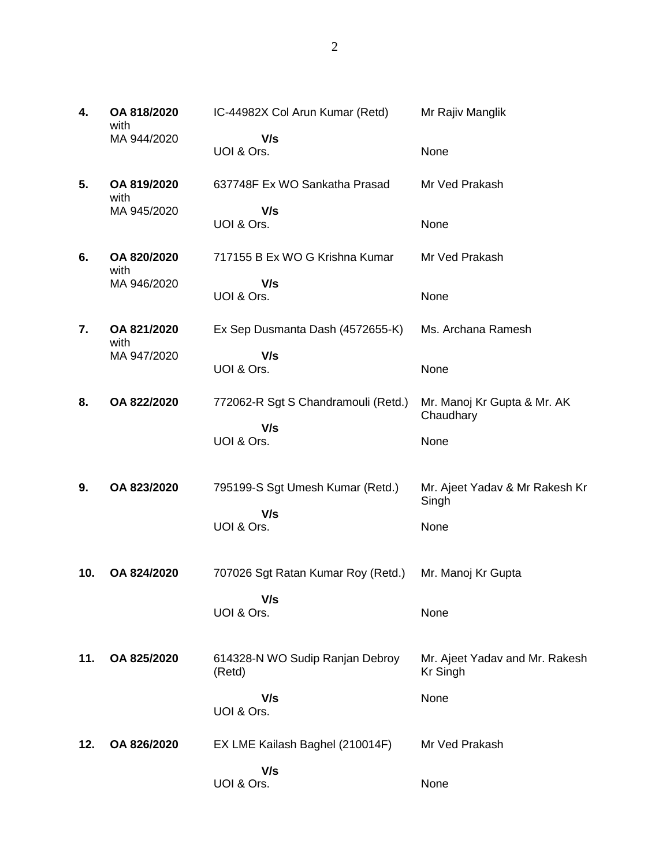| 4.  | OA 818/2020<br>with | IC-44982X Col Arun Kumar (Retd)           | Mr Rajiv Manglik                                  |
|-----|---------------------|-------------------------------------------|---------------------------------------------------|
|     | MA 944/2020         | V/s<br>UOI & Ors.                         | None                                              |
| 5.  | OA 819/2020<br>with | 637748F Ex WO Sankatha Prasad             | Mr Ved Prakash                                    |
|     | MA 945/2020         | V/s<br>UOI & Ors.                         | None                                              |
| 6.  | OA 820/2020<br>with | 717155 B Ex WO G Krishna Kumar            | Mr Ved Prakash                                    |
|     | MA 946/2020         | V/s<br>UOI & Ors.                         | None                                              |
| 7.  | OA 821/2020         | Ex Sep Dusmanta Dash (4572655-K)          | Ms. Archana Ramesh                                |
|     | with<br>MA 947/2020 | V/s<br>UOI & Ors.                         | None                                              |
| 8.  | OA 822/2020         | 772062-R Sgt S Chandramouli (Retd.)       | Mr. Manoj Kr Gupta & Mr. AK<br>Chaudhary          |
|     |                     | V/s<br>UOI & Ors.                         | None                                              |
| 9.  | OA 823/2020         | 795199-S Sgt Umesh Kumar (Retd.)<br>V/s   | Mr. Ajeet Yadav & Mr Rakesh Kr<br>Singh           |
|     |                     | UOI & Ors.                                | None                                              |
| 10. | OA 824/2020         | 707026 Sgt Ratan Kumar Roy (Retd.)        | Mr. Manoj Kr Gupta                                |
|     |                     | V/s<br>UOI & Ors.                         | None                                              |
| 11. | OA 825/2020         | 614328-N WO Sudip Ranjan Debroy<br>(Retd) | Mr. Ajeet Yadav and Mr. Rakesh<br><b>Kr Singh</b> |
|     |                     | V/s<br>UOI & Ors.                         | None                                              |
| 12. | OA 826/2020         | EX LME Kailash Baghel (210014F)           | Mr Ved Prakash                                    |
|     |                     | V/s<br>UOI & Ors.                         | None                                              |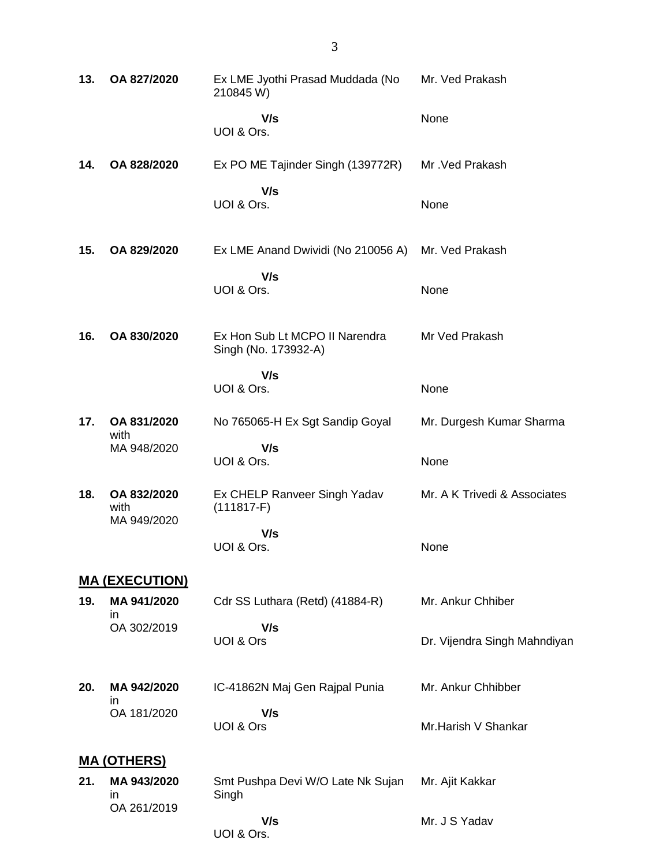| 13. | OA 827/2020                             | Ex LME Jyothi Prasad Muddada (No<br>210845 W)          | Mr. Ved Prakash              |
|-----|-----------------------------------------|--------------------------------------------------------|------------------------------|
|     |                                         | V/s<br>UOI & Ors.                                      | None                         |
| 14. | OA 828/2020                             | Ex PO ME Tajinder Singh (139772R)                      | Mr. Ved Prakash              |
|     |                                         | V/s<br>UOI & Ors.                                      | None                         |
| 15. | OA 829/2020                             | Ex LME Anand Dwividi (No 210056 A)                     | Mr. Ved Prakash              |
|     |                                         | V/s<br>UOI & Ors.                                      | None                         |
| 16. | OA 830/2020                             | Ex Hon Sub Lt MCPO II Narendra<br>Singh (No. 173932-A) | Mr Ved Prakash               |
|     |                                         | V/s<br>UOI & Ors.                                      | None                         |
| 17. | OA 831/2020<br>with                     | No 765065-H Ex Sgt Sandip Goyal                        | Mr. Durgesh Kumar Sharma     |
|     | MA 948/2020                             | V/s<br>UOI & Ors.                                      | None                         |
| 18. | OA 832/2020<br>with<br>MA 949/2020      | Ex CHELP Ranveer Singh Yadav<br>$(111817-F)$           | Mr. A K Trivedi & Associates |
|     |                                         | V/s<br>UOI & Ors.                                      | None                         |
|     | <b>MA (EXECUTION)</b>                   |                                                        |                              |
| 19. | MA 941/2020<br><i>in</i>                | Cdr SS Luthara (Retd) (41884-R)                        | Mr. Ankur Chhiber            |
|     | OA 302/2019                             | V/s<br>UOI & Ors                                       | Dr. Vijendra Singh Mahndiyan |
| 20. | MA 942/2020<br>ın                       | IC-41862N Maj Gen Rajpal Punia                         | Mr. Ankur Chhibber           |
|     | OA 181/2020                             | V/s<br>UOI & Ors                                       | Mr.Harish V Shankar          |
|     | <u>MA (OTHERS)</u>                      |                                                        |                              |
| 21. | MA 943/2020<br><i>in</i><br>OA 261/2019 | Smt Pushpa Devi W/O Late Nk Sujan<br>Singh             | Mr. Ajit Kakkar              |
|     |                                         | V/s                                                    | Mr. J S Yadav                |

UOI & Ors.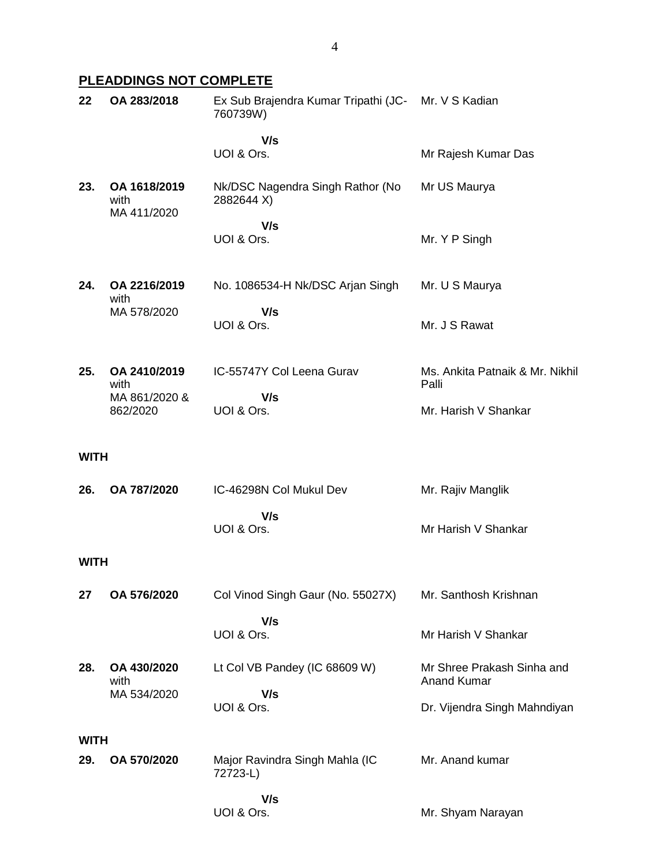# **PLEADDINGS NOT COMPLETE**

| 22          | OA 283/2018                         | Ex Sub Brajendra Kumar Tripathi (JC- Mr. V S Kadian<br>760739W) |                                                  |
|-------------|-------------------------------------|-----------------------------------------------------------------|--------------------------------------------------|
|             |                                     | V/s<br>UOI & Ors.                                               | Mr Rajesh Kumar Das                              |
| 23.         | OA 1618/2019<br>with<br>MA 411/2020 | Nk/DSC Nagendra Singh Rathor (No<br>2882644 X)                  | Mr US Maurya                                     |
|             |                                     | V/s<br>UOI & Ors.                                               | Mr. Y P Singh                                    |
| 24.         | OA 2216/2019<br>with                | No. 1086534-H Nk/DSC Arjan Singh                                | Mr. U S Maurya                                   |
|             | MA 578/2020                         | V/s<br>UOI & Ors.                                               | Mr. J S Rawat                                    |
| 25.         | OA 2410/2019<br>with                | IC-55747Y Col Leena Gurav                                       | Ms. Ankita Patnaik & Mr. Nikhil<br>Palli         |
|             | MA 861/2020 &<br>862/2020           | V/s<br>UOI & Ors.                                               | Mr. Harish V Shankar                             |
| <b>WITH</b> |                                     |                                                                 |                                                  |
| 26.         | OA 787/2020                         | IC-46298N Col Mukul Dev                                         | Mr. Rajiv Manglik                                |
|             |                                     | V/s<br>UOI & Ors.                                               | Mr Harish V Shankar                              |
| <b>WITH</b> |                                     |                                                                 |                                                  |
| 27          | OA 576/2020                         | Col Vinod Singh Gaur (No. 55027X)                               | Mr. Santhosh Krishnan                            |
|             |                                     | V/s<br>UOI & Ors.                                               | Mr Harish V Shankar                              |
| 28.         | OA 430/2020<br>with<br>MA 534/2020  | Lt Col VB Pandey (IC 68609 W)<br>V/s                            | Mr Shree Prakash Sinha and<br><b>Anand Kumar</b> |
|             |                                     | UOI & Ors.                                                      | Dr. Vijendra Singh Mahndiyan                     |
| <b>WITH</b> |                                     |                                                                 |                                                  |
| 29.         | OA 570/2020                         | Major Ravindra Singh Mahla (IC<br>72723-L)                      | Mr. Anand kumar                                  |
|             |                                     | V/s<br>UOI & Ors.                                               | Mr. Shyam Narayan                                |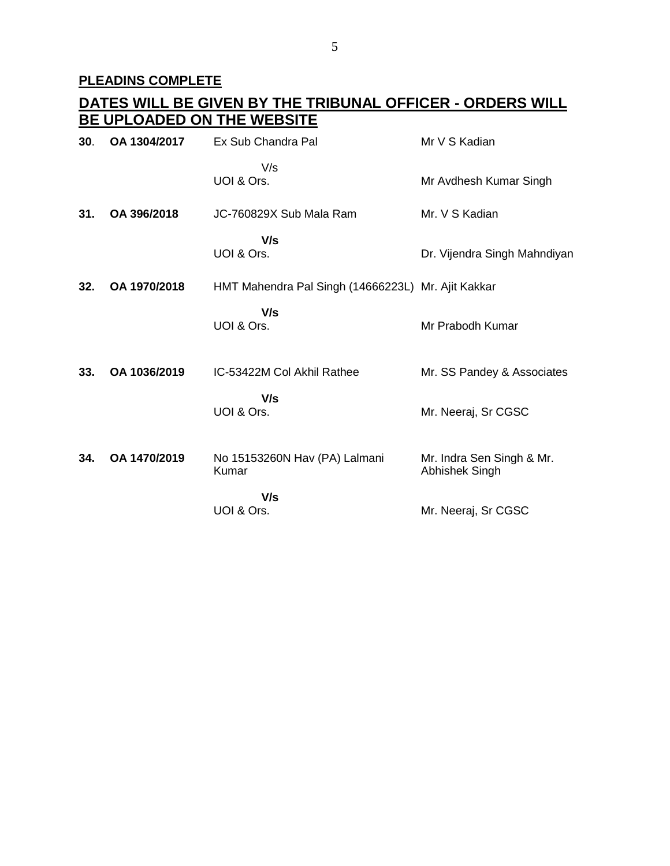# **PLEADINS COMPLETE**

|     | <u>DATES WILL BE GIVEN BY THE TRIBUNAL OFFICER - ORDERS WILL</u><br>BE UPLOADED ON THE WEBSITE |                                                    |                                             |  |  |
|-----|------------------------------------------------------------------------------------------------|----------------------------------------------------|---------------------------------------------|--|--|
| 30. | OA 1304/2017                                                                                   | Ex Sub Chandra Pal                                 | Mr V S Kadian                               |  |  |
|     |                                                                                                | V/s<br>UOI & Ors.                                  | Mr Avdhesh Kumar Singh                      |  |  |
| 31. | OA 396/2018                                                                                    | JC-760829X Sub Mala Ram                            | Mr. V S Kadian                              |  |  |
|     |                                                                                                | V/s<br>UOI & Ors.                                  | Dr. Vijendra Singh Mahndiyan                |  |  |
| 32. | OA 1970/2018                                                                                   | HMT Mahendra Pal Singh (14666223L) Mr. Ajit Kakkar |                                             |  |  |
|     |                                                                                                | V/s<br>UOI & Ors.                                  | Mr Prabodh Kumar                            |  |  |
| 33. | OA 1036/2019                                                                                   | IC-53422M Col Akhil Rathee                         | Mr. SS Pandey & Associates                  |  |  |
|     |                                                                                                | V/s<br>UOI & Ors.                                  | Mr. Neeraj, Sr CGSC                         |  |  |
| 34. | OA 1470/2019                                                                                   | No 15153260N Hav (PA) Lalmani<br>Kumar             | Mr. Indra Sen Singh & Mr.<br>Abhishek Singh |  |  |
|     |                                                                                                | V/s<br>UOI & Ors.                                  | Mr. Neeraj, Sr CGSC                         |  |  |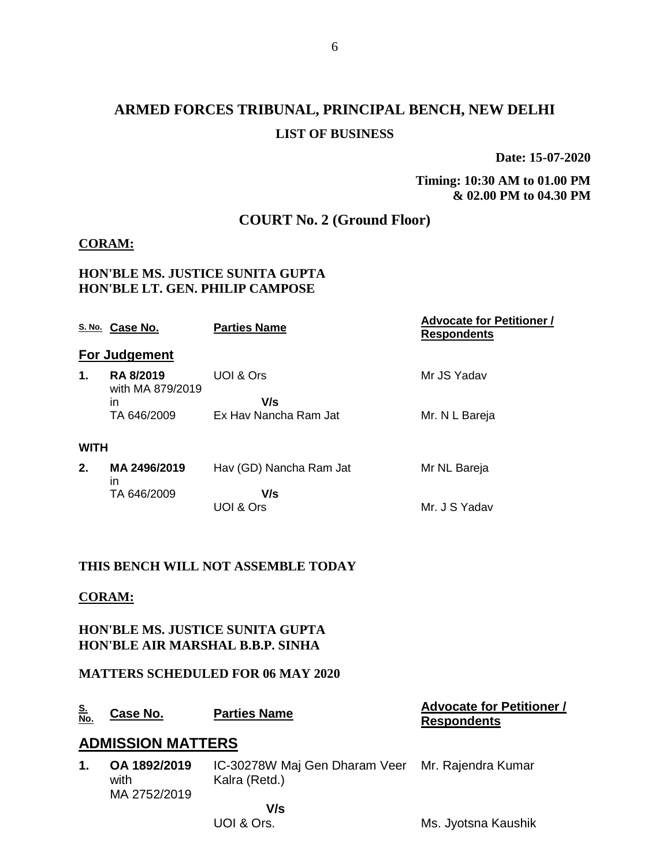# **ARMED FORCES TRIBUNAL, PRINCIPAL BENCH, NEW DELHI LIST OF BUSINESS**

6

**Date: 15-07-2020**

**Timing: 10:30 AM to 01.00 PM & 02.00 PM to 04.30 PM**

# **COURT No. 2 (Ground Floor)**

### **CORAM:**

### **HON'BLE MS. JUSTICE SUNITA GUPTA HON'BLE LT. GEN. PHILIP CAMPOSE**

|             | S. No. Case No.                      | <b>Parties Name</b>     | <b>Advocate for Petitioner /</b><br><b>Respondents</b> |
|-------------|--------------------------------------|-------------------------|--------------------------------------------------------|
|             | <b>For Judgement</b>                 |                         |                                                        |
| 1.          | <b>RA 8/2019</b><br>with MA 879/2019 | UOI & Ors               | Mr JS Yadav                                            |
|             | in                                   | V/s                     |                                                        |
|             | TA 646/2009                          | Ex Hay Nancha Ram Jat   | Mr. N L Bareja                                         |
| <b>WITH</b> |                                      |                         |                                                        |
| 2.          | MA 2496/2019<br>ın                   | Hav (GD) Nancha Ram Jat | Mr NL Bareja                                           |
|             | TA 646/2009                          | V/s                     |                                                        |
|             |                                      | UOI & Ors               | Mr. J S Yadav                                          |
|             |                                      |                         |                                                        |

### **THIS BENCH WILL NOT ASSEMBLE TODAY**

## **CORAM:**

### **HON'BLE MS. JUSTICE SUNITA GUPTA HON'BLE AIR MARSHAL B.B.P. SINHA**

### **MATTERS SCHEDULED FOR 06 MAY 2020**

| <u>S.</u><br>No. | Case No.                             | <b>Parties Name</b>                                               | <b>Advocate for Petitioner /</b><br><b>Respondents</b> |
|------------------|--------------------------------------|-------------------------------------------------------------------|--------------------------------------------------------|
|                  | <b>ADMISSION MATTERS</b>             |                                                                   |                                                        |
| 1.               | OA 1892/2019<br>with<br>MA 2752/2019 | IC-30278W Maj Gen Dharam Veer Mr. Rajendra Kumar<br>Kalra (Retd.) |                                                        |
|                  |                                      | V/s                                                               |                                                        |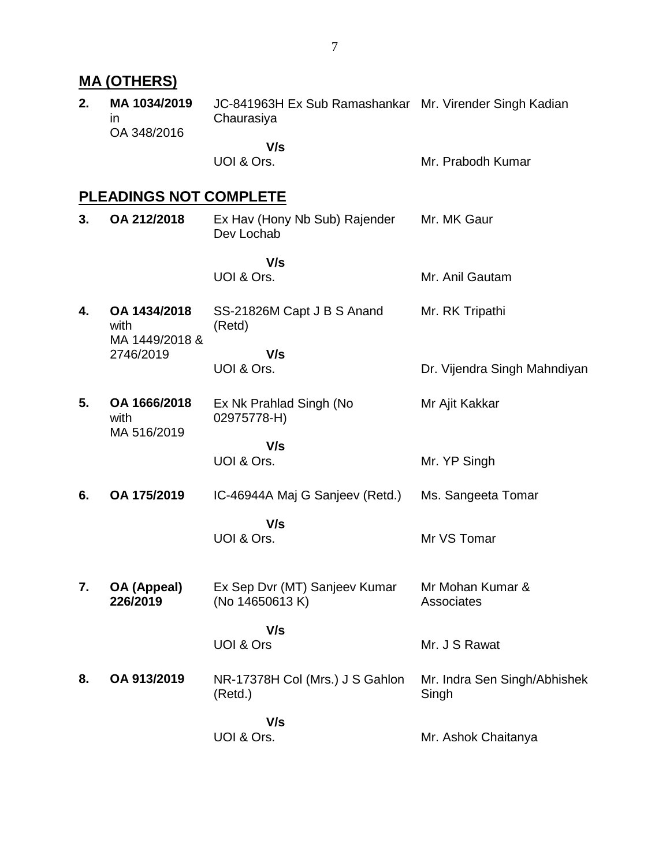# **MA (OTHERS)**

**2. MA 1034/2019** in OA 348/2016 JC-841963H Ex Sub Ramashankar Mr. Virender Singh Kadian Chaurasiya

 **V/s** UOI & Ors.

Mr. Prabodh Kumar

# **PLEADINGS NOT COMPLETE**

| 3. | OA 212/2018                            | Ex Hav (Hony Nb Sub) Rajender<br>Dev Lochab      | Mr. MK Gaur                           |
|----|----------------------------------------|--------------------------------------------------|---------------------------------------|
|    |                                        | V/s<br>UOI & Ors.                                | Mr. Anil Gautam                       |
| 4. | OA 1434/2018<br>with<br>MA 1449/2018 & | SS-21826M Capt J B S Anand<br>(Retd)             | Mr. RK Tripathi                       |
|    | 2746/2019                              | V/s<br>UOI & Ors.                                | Dr. Vijendra Singh Mahndiyan          |
| 5. | OA 1666/2018<br>with<br>MA 516/2019    | Ex Nk Prahlad Singh (No<br>02975778-H)           | Mr Ajit Kakkar                        |
|    |                                        | V/s<br>UOI & Ors.                                | Mr. YP Singh                          |
| 6. | OA 175/2019                            | IC-46944A Maj G Sanjeev (Retd.)                  | Ms. Sangeeta Tomar                    |
|    |                                        | V/s<br>UOI & Ors.                                | Mr VS Tomar                           |
| 7. | OA (Appeal)<br>226/2019                | Ex Sep Dvr (MT) Sanjeev Kumar<br>(No 14650613 K) | Mr Mohan Kumar &<br>Associates        |
|    |                                        | V/s<br><b>UOI &amp; Ors</b>                      | Mr. J S Rawat                         |
| 8. | OA 913/2019                            | NR-17378H Col (Mrs.) J S Gahlon<br>(Retd.)       | Mr. Indra Sen Singh/Abhishek<br>Singh |
|    |                                        | V/s<br>UOI & Ors.                                | Mr. Ashok Chaitanya                   |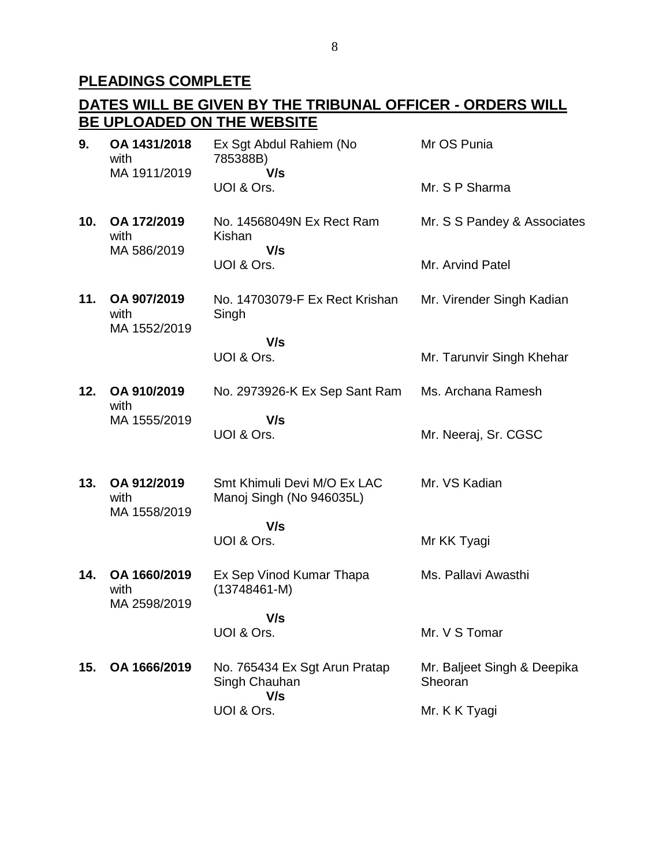# **PLEADINGS COMPLETE**

# **DATES WILL BE GIVEN BY THE TRIBUNAL OFFICER - ORDERS WILL BE UPLOADED ON THE WEBSITE**

| 9.  | OA 1431/2018<br>with<br>MA 1911/2019 | Ex Sgt Abdul Rahiem (No<br>785388B)<br>V/s              | Mr OS Punia                            |
|-----|--------------------------------------|---------------------------------------------------------|----------------------------------------|
|     |                                      | UOI & Ors.                                              | Mr. S P Sharma                         |
| 10. | OA 172/2019<br>with<br>MA 586/2019   | No. 14568049N Ex Rect Ram<br>Kishan<br>V/s              | Mr. S S Pandey & Associates            |
|     |                                      | UOI & Ors.                                              | Mr. Arvind Patel                       |
| 11. | OA 907/2019<br>with<br>MA 1552/2019  | No. 14703079-F Ex Rect Krishan<br>Singh                 | Mr. Virender Singh Kadian              |
|     |                                      | V/s<br>UOI & Ors.                                       | Mr. Tarunvir Singh Khehar              |
| 12. | OA 910/2019<br>with                  | No. 2973926-K Ex Sep Sant Ram                           | Ms. Archana Ramesh                     |
|     | MA 1555/2019                         | V/s<br>UOI & Ors.                                       | Mr. Neeraj, Sr. CGSC                   |
| 13. | OA 912/2019<br>with<br>MA 1558/2019  | Smt Khimuli Devi M/O Ex LAC<br>Manoj Singh (No 946035L) | Mr. VS Kadian                          |
|     |                                      | V/s<br>UOI & Ors.                                       | Mr KK Tyagi                            |
| 14. | OA 1660/2019<br>with<br>MA 2598/2019 | Ex Sep Vinod Kumar Thapa<br>$(13748461 - M)$            | Ms. Pallavi Awasthi                    |
|     |                                      | V/s<br>UOI & Ors.                                       | Mr. V S Tomar                          |
| 15. | OA 1666/2019                         | No. 765434 Ex Sgt Arun Pratap<br>Singh Chauhan<br>V/s   | Mr. Baljeet Singh & Deepika<br>Sheoran |
|     |                                      | UOI & Ors.                                              | Mr. K K Tyagi                          |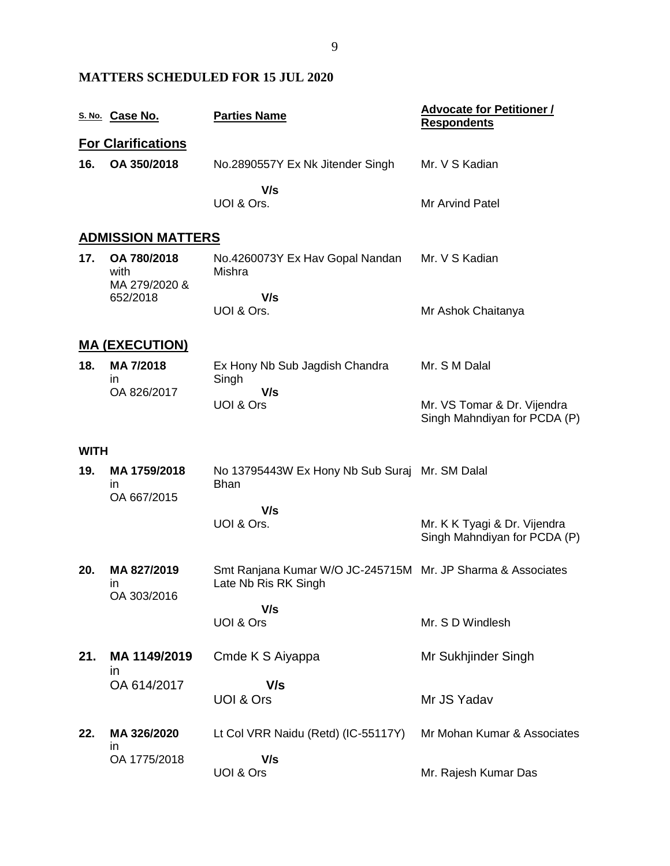# **MATTERS SCHEDULED FOR 15 JUL 2020**

|             | S. No. Case No.                      | <b>Parties Name</b>                                                                 | <b>Advocate for Petitioner /</b><br><b>Respondents</b>       |
|-------------|--------------------------------------|-------------------------------------------------------------------------------------|--------------------------------------------------------------|
|             | <b>For Clarifications</b>            |                                                                                     |                                                              |
| 16.         | OA 350/2018                          | No.2890557Y Ex Nk Jitender Singh                                                    | Mr. V S Kadian                                               |
|             |                                      | V/s<br>UOI & Ors.                                                                   | Mr Arvind Patel                                              |
|             | <b>ADMISSION MATTERS</b>             |                                                                                     |                                                              |
| 17.         | OA 780/2018<br>with<br>MA 279/2020 & | No.4260073Y Ex Hav Gopal Nandan<br>Mishra                                           | Mr. V S Kadian                                               |
|             | 652/2018                             | V/s<br>UOI & Ors.                                                                   | Mr Ashok Chaitanya                                           |
|             | <u>MA (EXECUTION)</u>                |                                                                                     |                                                              |
| 18.         | MA 7/2018<br>in                      | Ex Hony Nb Sub Jagdish Chandra<br>Singh                                             | Mr. S M Dalal                                                |
|             | OA 826/2017                          | V/s<br>UOI & Ors                                                                    | Mr. VS Tomar & Dr. Vijendra<br>Singh Mahndiyan for PCDA (P)  |
| <b>WITH</b> |                                      |                                                                                     |                                                              |
| 19.         | MA 1759/2018<br>ın                   | No 13795443W Ex Hony Nb Sub Suraj Mr. SM Dalal<br><b>Bhan</b>                       |                                                              |
|             | OA 667/2015                          | V/s                                                                                 |                                                              |
|             |                                      | UOI & Ors.                                                                          | Mr. K K Tyagi & Dr. Vijendra<br>Singh Mahndiyan for PCDA (P) |
| 20.         | MA 827/2019<br>ın                    | Smt Ranjana Kumar W/O JC-245715M Mr. JP Sharma & Associates<br>Late Nb Ris RK Singh |                                                              |
|             | OA 303/2016                          | V/s                                                                                 |                                                              |
|             |                                      | UOI & Ors                                                                           | Mr. S D Windlesh                                             |
| 21.         | MA 1149/2019<br>in                   | Cmde K S Aiyappa                                                                    | Mr Sukhjinder Singh                                          |
|             | OA 614/2017                          | V/s                                                                                 |                                                              |
|             |                                      | UOI & Ors                                                                           | Mr JS Yadav                                                  |
| 22.         | MA 326/2020<br>in                    | Lt Col VRR Naidu (Retd) (IC-55117Y)                                                 | Mr Mohan Kumar & Associates                                  |
|             | OA 1775/2018                         | V/s<br>UOI & Ors                                                                    | Mr. Rajesh Kumar Das                                         |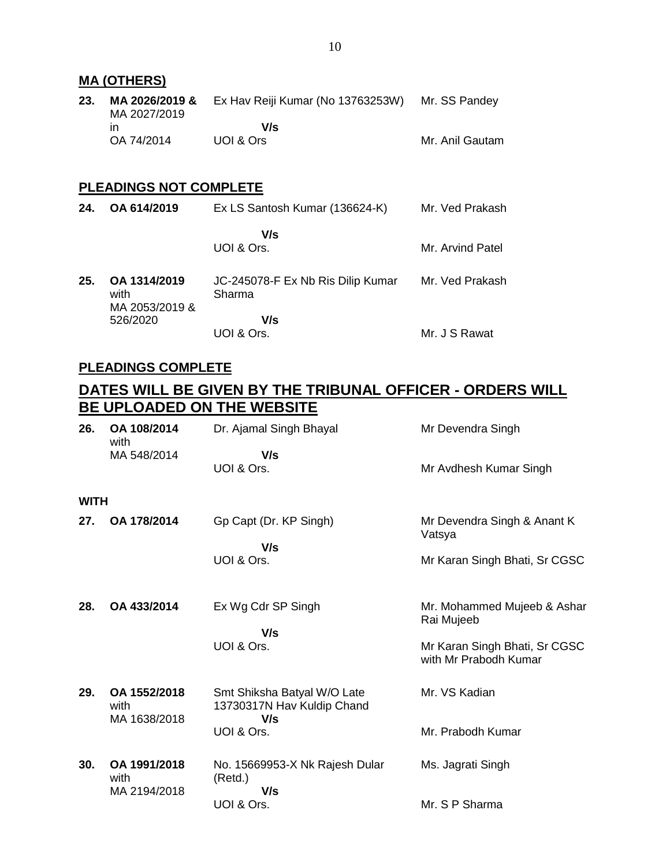| 23. | MA 2026/2019 &<br>MA 2027/2019 | Ex Hav Reiji Kumar (No 13763253W) Mr. SS Pandey |                 |
|-----|--------------------------------|-------------------------------------------------|-----------------|
|     | ın                             | V/s                                             |                 |
|     | OA 74/2014                     | UOI & Ors                                       | Mr. Anil Gautam |

# **PLEADINGS NOT COMPLETE**

| 24. | OA 614/2019                            | Ex LS Santosh Kumar (136624-K)              | Mr. Ved Prakash  |
|-----|----------------------------------------|---------------------------------------------|------------------|
|     |                                        | V/s<br>UOI & Ors.                           | Mr. Arvind Patel |
| 25. | OA 1314/2019<br>with<br>MA 2053/2019 & | JC-245078-F Ex Nb Ris Dilip Kumar<br>Sharma | Mr. Ved Prakash  |
|     | 526/2020                               | V/s<br>UOI & Ors.                           | Mr. J S Rawat    |

### **PLEADINGS COMPLETE**

# **DATES WILL BE GIVEN BY THE TRIBUNAL OFFICER - ORDERS WILL BE UPLOADED ON THE WEBSITE**

| 26.         | OA 108/2014<br>with                  | Dr. Ajamal Singh Bhayal                                          | Mr Devendra Singh                                      |
|-------------|--------------------------------------|------------------------------------------------------------------|--------------------------------------------------------|
|             | MA 548/2014                          | V/s<br>UOI & Ors.                                                | Mr Avdhesh Kumar Singh                                 |
| <b>WITH</b> |                                      |                                                                  |                                                        |
| 27.         | OA 178/2014                          | Gp Capt (Dr. KP Singh)                                           | Mr Devendra Singh & Anant K<br>Vatsya                  |
|             |                                      | V/s<br>UOI & Ors.                                                | Mr Karan Singh Bhati, Sr CGSC                          |
| 28.         | OA 433/2014                          | Ex Wg Cdr SP Singh<br>V/s                                        | Mr. Mohammed Mujeeb & Ashar<br>Rai Mujeeb              |
|             |                                      | UOI & Ors.                                                       | Mr Karan Singh Bhati, Sr CGSC<br>with Mr Prabodh Kumar |
| 29.         | OA 1552/2018<br>with<br>MA 1638/2018 | Smt Shiksha Batyal W/O Late<br>13730317N Hav Kuldip Chand<br>V/s | Mr. VS Kadian                                          |
|             |                                      | UOI & Ors.                                                       | Mr. Prabodh Kumar                                      |
| 30.         | OA 1991/2018<br>with<br>MA 2194/2018 | No. 15669953-X Nk Rajesh Dular<br>(Retd.)<br>V/s                 | Ms. Jagrati Singh                                      |
|             |                                      | UOI & Ors.                                                       | Mr. S P Sharma                                         |